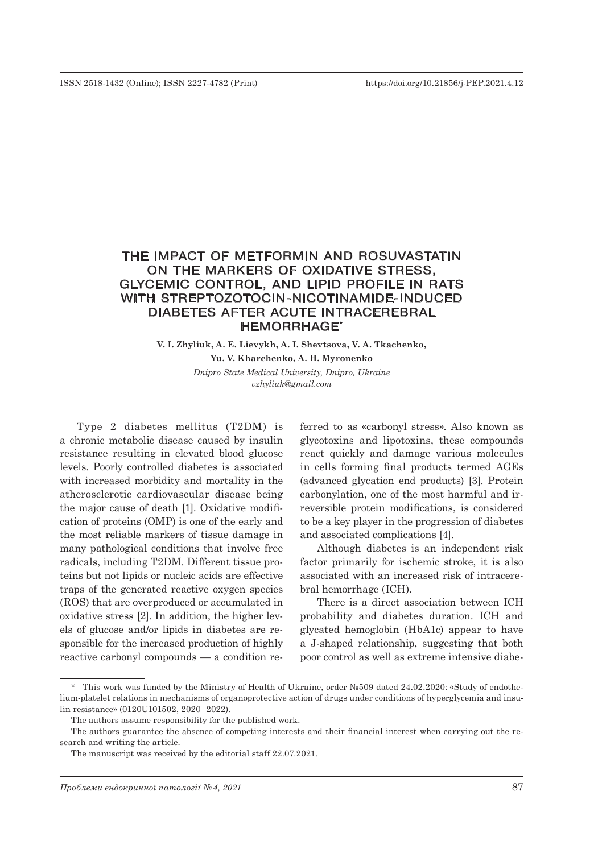# THE IMPACT OF METFORMIN AND ROSUVASTATIN ON THE MARKERS OF OXIDATIVE STRESS, GLYCEMIC CONTROL, AND LIPID PROFILE IN RATS WITH STREPTOZOTOCIN-NICOTINAMIDE-INDUCED DIABETES AFTER ACUTE INTRACEREBRAL HEMORRHAGE\*

**V. I. Zhyliuk, A. E. Lievykh, A. I. Shevtsova, V. A. Tkachenko, Yu. V. Kharchenko, A. H. Myronenko**

> *Dnipro State Medical University, Dnipro, Ukraine vzhyliuk@gmail.com*

Type 2 diabetes mellitus (T2DM) is a chronic metabolic disease caused by insulin resistance resulting in elevated blood glucose levels. Poorly controlled diabetes is associated with increased morbidity and mortality in the atherosclerotic cardiovascular disease being the major cause of death [1]. Oxidative modification of proteins (OMP) is one of the early and the most reliable markers of tissue damage in many pathological conditions that involve free radicals, including T2DM. Different tissue proteins but not lipids or nucleic acids are effective traps of the generated reactive oxygen species (ROS) that are overproduced or accumulated in oxidative stress [2]. In addition, the higher levels of glucose and/or lipids in diabetes are responsible for the increased production of highly reactive carbonyl compounds — a condition re-

ferred to as «carbonyl stress». Also known as glycotoxins and lipotoxins, these compounds react quickly and damage various molecules in cells forming final products termed AGEs (advanced glycation end products) [3]. Protein carbonylation, one of the most harmful and irreversible protein modifications, is considered to be a key player in the progression of diabetes and associated complications [4].

Although diabetes is an independent risk factor primarily for ischemic stroke, it is also associated with an increased risk of intracerebral hemorrhage (ICH).

There is a direct association between ICH probability and diabetes duration. ICH and glycated hemoglobin (HbA1c) appear to have a J-shaped relationship, suggesting that both poor control as well as extreme intensive diabe-

<sup>\*</sup> This work was funded by the Ministry of Health of Ukraine, order №509 dated 24.02.2020: «Study of endothelium-platelet relations in mechanisms of organoprotective action of drugs under conditions of hyperglycemia and insulin resistance» (0120U101502, 2020–2022).

The authors assume responsibility for the published work.

The authors guarantee the absence of competing interests and their financial interest when carrying out the research and writing the article.

The manuscript was received by the editorial staff 22.07.2021.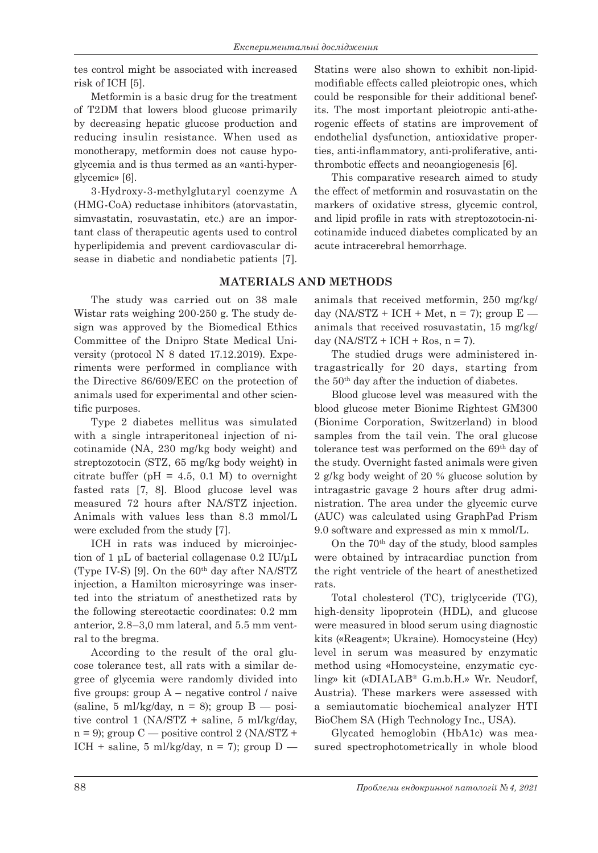tes control might be associated with increased risk of ICH [5].

Metformin is a basic drug for the treatment of T2DM that lowers blood glucose primarily by decreasing hepatic glucose production and reducing insulin resistance. When used as monotherapy, metformin does not cause hypoglycemia and is thus termed as an «anti-hyperglycemic» [6].

3-Hydroxy-3-methylglutaryl coenzyme A (HMG-CoA) reductase inhibitors (atorvastatin, simvastatin, rosuvastatin, etc.) are an important class of therapeutic agents used to control hyperlipidemia and prevent cardiovascular disease in diabetic and nondiabetic patients [7].

Statins were also shown to exhibit non-lipidmodifiable effects called pleiotropic ones, which could be responsible for their additional benefits. The most important pleiotropic anti-atherogenic effects of statins are improvement of endothelial dysfunction, antioxidative properties, anti-inflammatory, anti-proliferative, antithrombotic effects and neoangiogenesis [6].

This comparative research aimed to study the effect of metformin and rosuvastatin on the markers of oxidative stress, glycemic control, and lipid profile in rats with streptozotocin-nicotinamide induced diabetes complicated by an acute intracerebral hemorrhage.

## **MATERIALS AND METHODS**

The study was carried out on 38 male Wistar rats weighing 200-250 g. The study design was approved by the Biomedical Ethics Committee of the Dnipro State Medical University (protocol N 8 dated 17.12.2019). Experiments were performed in compliance with the Directive 86/609/EEC on the protection of animals used for experimental and other scientific purposes.

Type 2 diabetes mellitus was simulated with a single intraperitoneal injection of nicotinamide (NA, 230 mg/kg body weight) and streptozotocin (STZ, 65 mg/kg body weight) in citrate buffer ( $pH = 4.5$ , 0.1 M) to overnight fasted rats [7, 8]. Blood glucose level was measured 72 hours after NA/STZ injection. Animals with values less than 8.3 mmol/L were excluded from the study [7].

ICH in rats was induced by microinjection of 1 μL of bacterial collagenase 0.2 IU/μL (Type IV-S) [9]. On the  $60<sup>th</sup>$  day after NA/STZ injection, a Hamilton microsyringe was inserted into the striatum of anesthetized rats by the following stereotactic coordinates: 0.2 mm anterior, 2.8–3,0 mm lateral, and 5.5 mm ventral to the bregma.

According to the result of the oral glucose tolerance test, all rats with a similar degree of glycemia were randomly divided into five groups: group  $A$  – negative control / naive (saline, 5 ml/kg/day,  $n = 8$ ); group  $B$  — positive control 1 (NA/STZ + saline, 5 ml/kg/day,  $n = 9$ ); group  $C \rightarrow$  positive control 2 (NA/STZ + ICH + saline, 5 ml/kg/day,  $n = 7$ ; group  $D$  —

animals that received metformin, 250 mg/kg/ day (NA/STZ + ICH + Met,  $n = 7$ ); group  $E$  animals that received rosuvastatin, 15 mg/kg/ day  $(NA/STZ + ICH + Ros, n = 7)$ .

The studied drugs were administered intragastrically for 20 days, starting from the 50th day after the induction of diabetes.

Blood glucose level was measured with the blood glucose meter Bionime Rightest GM300 (Bionime Corporation, Switzerland) in blood samples from the tail vein. The oral glucose tolerance test was performed on the 69th day of the study. Overnight fasted animals were given 2 g/kg body weight of 20 % glucose solution by intragastric gavage 2 hours after drug administration. The area under the glycemic curve (AUC) was calculated using GraphPad Prism 9.0 software and expressed as min x mmol/L.

On the 70th day of the study, blood samples were obtained by intracardiac punction from the right ventricle of the heart of anesthetized rats.

Total cholesterol (TC), triglyceride (TG), high-density lipoprotein (HDL), and glucose were measured in blood serum using diagnostic kits («Reagent»; Ukraine). Homocysteine (Hcy) level in serum was measured by enzymatic method using «Homocysteine, enzymatic cycling» kit («DIALAB® G.m.b.H.» Wr. Neudorf, Austria). These markers were assessed with a semiautomatic biochemical analyzer HTI BioChem SA (High Technology Inc., USA).

Glycated hemoglobin (HbA1c) was measured spectrophotometrically in whole blood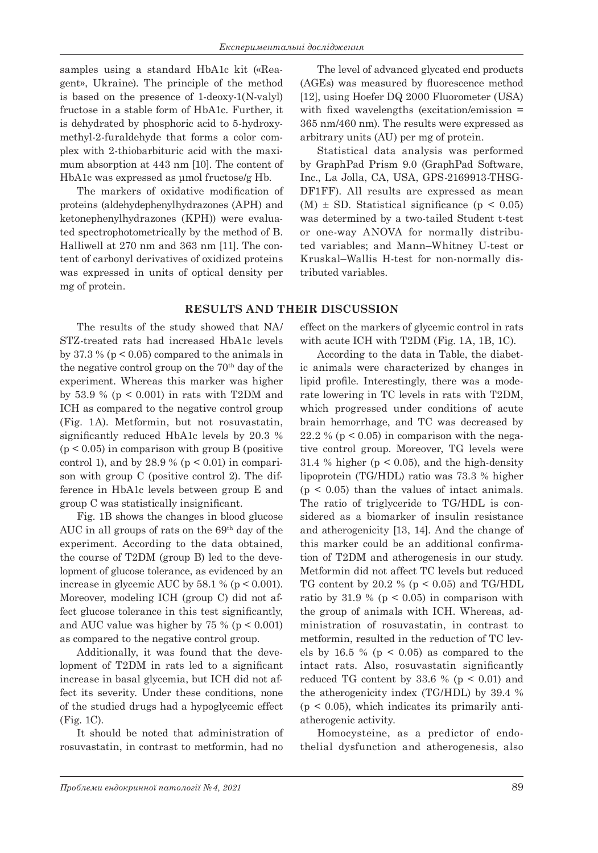samples using a standard HbA1c kit («Reagent», Ukraine). The principle of the method is based on the presence of 1-deoxy-1(N-valyl) fructose in а stable form of HbA1c. Further, it is dehydrated by phosphoric acid to 5-hydroxymethyl-2-furaldehyde that forms a color complex with 2-thiobarbituric acid with the maximum absorption at 443 nm [10]. The content of HbA1c was expressed as μmol fructose/g Hb.

The markers of oxidative modification of proteins (aldehydephenylhydrazones (APH) and ketonephenylhydrazones (KPH)) were evaluated spectrophotometrically by the method of B. Halliwell at 270 nm and 363 nm [11]. The content of carbonyl derivatives of oxidized proteins was expressed in units of optical density per mg of protein.

The results of the study showed that NA/ STZ-treated rats had increased HbA1c levels by 37.3 % ( $p < 0.05$ ) compared to the animals in the negative control group on the 70<sup>th</sup> day of the experiment. Whereas this marker was higher by 53.9 % ( $p < 0.001$ ) in rats with T2DM and ICH as compared to the negative control group (Fig. 1A). Metformin, but not rosuvastatin, significantly reduced HbA1c levels by 20.3 %  $(p < 0.05)$  in comparison with group B (positive control 1), and by 28.9 % ( $p < 0.01$ ) in comparison with group C (positive control 2). The difference in HbA1c levels between group E and group C was statistically insignificant.

Fig. 1B shows the changes in blood glucose AUC in all groups of rats on the  $69<sup>th</sup>$  day of the experiment. According to the data obtained, the course of T2DM (group B) led to the development of glucose tolerance, as evidenced by an increase in glycemic AUC by  $58.1 \%$  (p < 0.001). Moreover, modeling ICH (group C) did not affect glucose tolerance in this test significantly, and AUC value was higher by 75 % ( $p < 0.001$ ) as compared to the negative control group.

Additionally, it was found that the development of T2DM in rats led to a significant increase in basal glycemia, but ICH did not affect its severity. Under these conditions, none of the studied drugs had a hypoglycemic effect (Fig. 1C).

It should be noted that administration of rosuvastatin, in contrast to metformin, had no

The level of advanced glycated end products (AGEs) was measured by fluorescence method [12], using Hoefer DQ 2000 Fluorometer (USA) with fixed wavelengths (excitation/emission = 365 nm/460 nm). The results were expressed as arbitrary units (AU) per mg of protein.

Statistical data analysis was performed by GraphPad Prism 9.0 (GraphPad Software, Inc., La Jolla, CA, USA, GPS-2169913-THSG-DF1FF). All results are expressed as mean  $(M) \pm SD$ . Statistical significance (p < 0.05) was determined by a two-tailed Student t-test or one-way ANOVA for normally distributed variables; and Mann–Whitney U-test or Kruskal–Wallis H-test for non-normally distributed variables.

## **RESULTS AND THEIR DISCUSSION**

effect on the markers of glycemic control in rats with acute ICH with T2DM (Fig. 1A, 1B, 1C).

According to the data in Table, the diabetic animals were characterized by changes in lipid profile. Interestingly, there was a moderate lowering in TC levels in rats with T2DM, which progressed under conditions of acute brain hemorrhage, and TC was decreased by 22.2 % ( $p < 0.05$ ) in comparison with the negative control group. Moreover, TG levels were 31.4 % higher ( $p < 0.05$ ), and the high-density lipoprotein (TG/HDL) ratio was 73.3 % higher  $(p < 0.05)$  than the values of intact animals. The ratio of triglyceride to TG/HDL is considered as a biomarker of insulin resistance and atherogenicity [13, 14]. And the change of this marker could be an additional confirmation of T2DM and atherogenesis in our study. Metformin did not affect TC levels but reduced TG content by 20.2 % ( $p < 0.05$ ) and TG/HDL ratio by 31.9 % ( $p < 0.05$ ) in comparison with the group of animals with ICH. Whereas, administration of rosuvastatin, in contrast to metformin, resulted in the reduction of TC levels by 16.5 % ( $p < 0.05$ ) as compared to the intact rats. Also, rosuvastatin significantly reduced TG content by 33.6 % ( $p < 0.01$ ) and the atherogenicity index (TG/HDL) by 39.4 %  $(p < 0.05)$ , which indicates its primarily antiatherogenic activity.

Homocysteine, as a predictor of endothelial dysfunction and atherogenesis, also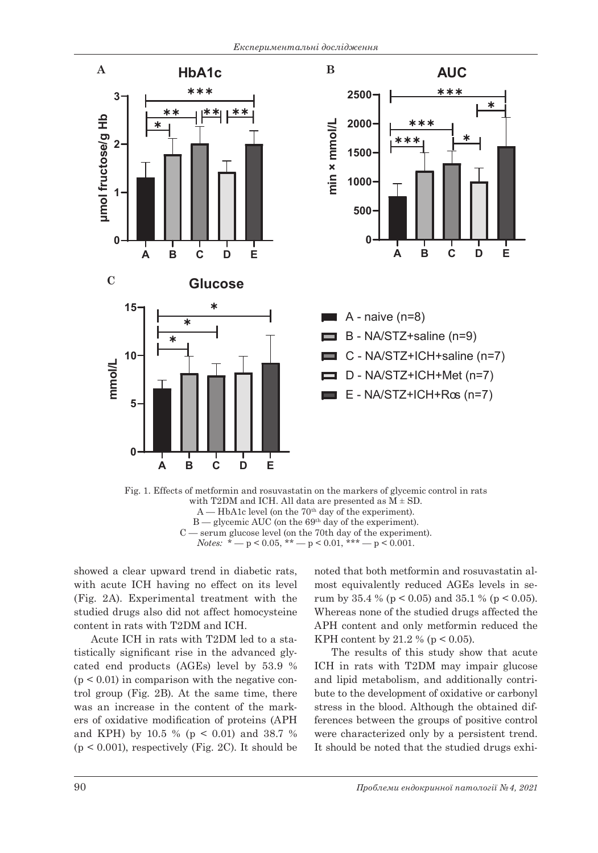

Fig. 1. Effects of metformin and rosuvastatin on the markers of glycemic control in rats with T2DM and ICH. All data are presented as  $M \pm SD$ .  $A$  — HbA1c level (on the 70<sup>th</sup> day of the experiment).  $B$  — glycemic AUC (on the 69<sup>th</sup> day of the experiment). C — serum glucose level (on the 70th day of the experiment). *Notes:*  $* - p < 0.05$ ,  $* - p < 0.01$ ,  $* + - p < 0.001$ .

showed a clear upward trend in diabetic rats, with acute ICH having no effect on its level (Fig. 2A). Experimental treatment with the studied drugs also did not affect homocysteine content in rats with T2DM and ICH.

Acute ICH in rats with T2DM led to a statistically significant rise in the advanced glycated end products (AGEs) level by 53.9 %  $(p < 0.01)$  in comparison with the negative control group (Fig. 2B). At the same time, there was an increase in the content of the markers of oxidative modification of proteins (APH and KPH) by 10.5 % (p < 0.01) and 38.7 %  $(p < 0.001)$ , respectively (Fig. 2C). It should be

noted that both metformin and rosuvastatin almost equivalently reduced AGEs levels in serum by  $35.4\%$  (p < 0.05) and  $35.1\%$  (p < 0.05). Whereas none of the studied drugs affected the APH content and only metformin reduced the KPH content by 21.2 % ( $p < 0.05$ ).

The results of this study show that acute ICH in rats with T2DM may impair glucose and lipid metabolism, and additionally contribute to the development of oxidative or carbonyl stress in the blood. Although the obtained differences between the groups of positive control were characterized only by a persistent trend. It should be noted that the studied drugs exhi-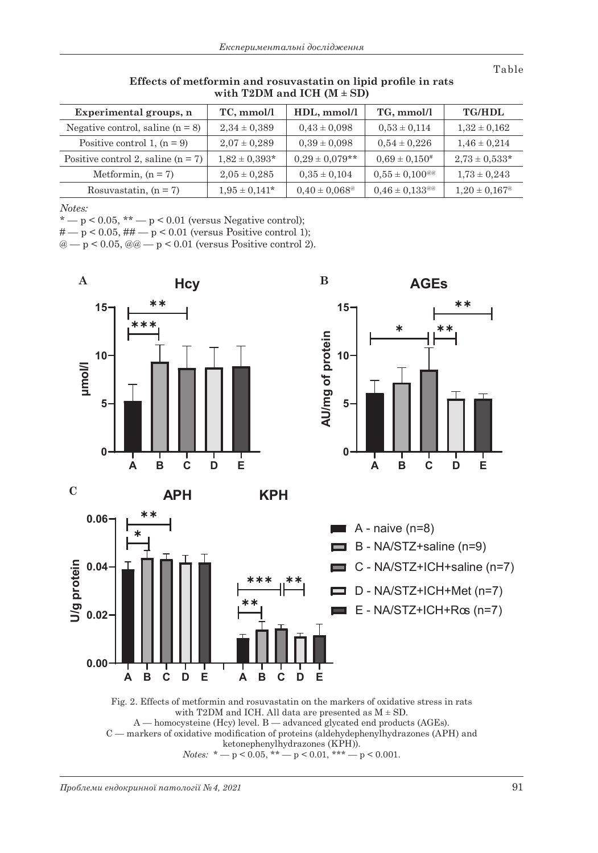Table

| Experimental groups, n               | TC, mmol/l         | HDL, mmol/l                   | TG, mmol/l                   | <b>TG/HDL</b>            |
|--------------------------------------|--------------------|-------------------------------|------------------------------|--------------------------|
| Negative control, saline $(n = 8)$   | $2,34 \pm 0,389$   | $0.43 \pm 0.098$              | $0,53 \pm 0,114$             | $1,32 \pm 0,162$         |
| Positive control 1, $(n = 9)$        | $2.07 \pm 0.289$   | $0,39 \pm 0,098$              | $0.54 \pm 0.226$             | $1,46 \pm 0,214$         |
| Positive control 2, saline $(n = 7)$ | $1,82 \pm 0,393*$  | $0.29 \pm 0.079**$            | $0.69 \pm 0.150^{\#}$        | $2,73 \pm 0,533*$        |
| Metformin, $(n = 7)$                 | $2,05 \pm 0,285$   | $0,35 \pm 0,104$              | $0.55 \pm 0.100^{\text{me}}$ | $1,73 \pm 0,243$         |
| Rosuvastatin, $(n = 7)$              | $1,95 \pm 0,141^*$ | $0.40 \pm 0.068$ <sup>@</sup> | $0.46 \pm 0.133^{\text{me}}$ | $1,20 \pm 0,167^{\circ}$ |

**Effects of metformin and rosuvastatin on lipid profile in rats**  with T2DM and ICH  $(M \pm SD)$ 

*Notes:*

 $* - p < 0.05$ ,  $** - p < 0.01$  (versus Negative control);

 $\# - p < 0.05, \# \# - p < 0.01$  (versus Positive control 1);

 $@ - p < 0.05, @ @ - p < 0.01$  (versus Positive control 2).



A — homocysteine (Hcy) level. B — advanced glycated end products (AGEs). C — markers of oxidative modification of proteins (aldehydephenylhydrazones (APH) and ketonephenylhydrazones (KPH)). *Notes:*  $* - p < 0.05$ ,  $** - p < 0.01$ ,  $*** - p < 0.001$ .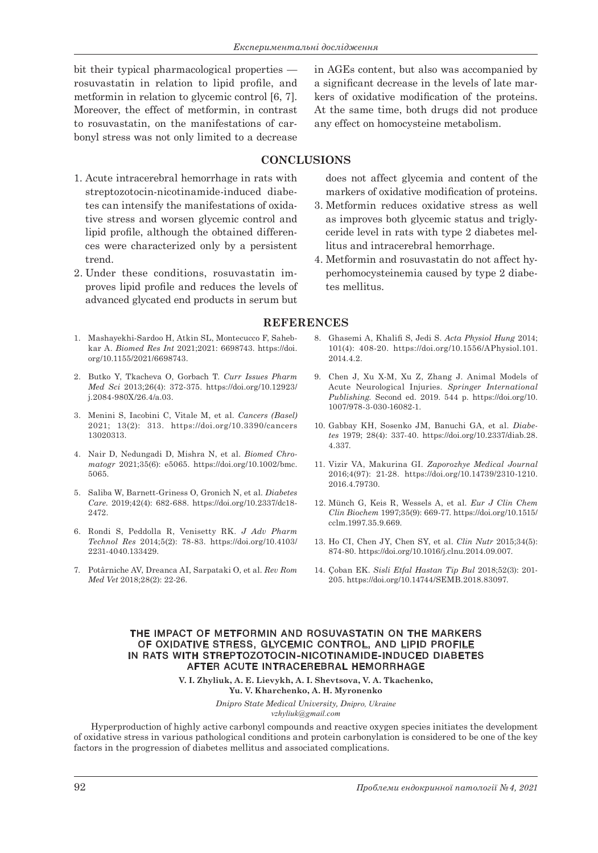bit their typical pharmacological properties rosuvastatin in relation to lipid profile, and metformin in relation to glycemic control [6, 7]. Moreover, the effect of metformin, in contrast to rosuvastatin, on the manifestations of carbonyl stress was not only limited to a decrease in AGEs content, but also was accompanied by a significant decrease in the levels of late markers of oxidative modification of the proteins. At the same time, both drugs did not produce any effect on homocysteine metabolism.

## **CONCLUSIONS**

- 1. Acute intracerebral hemorrhage in rats with streptozotocin-nicotinamide-induced diabetes can intensify the manifestations of oxidative stress and worsen glycemic control and lipid profile, although the obtained differences were characterized only by a persistent trend.
- 2. Under these conditions, rosuvastatin improves lipid profile and reduces the levels of advanced glycated end products in serum but
- 1. Mashayekhi-Sardoo H, Atkin SL, Montecucco F, Sahebkar A. *Biomed Res Int* 2021;2021: 6698743. https://doi. org/10.1155/2021/6698743.
- 2. Butko Y, Tkacheva O, Gorbach T. *Curr Issues Pharm Med Sci* 2013;26(4): 372-375. https://doi.org/10.12923/ j.2084-980X/26.4/a.03.
- 3. Menini S, Iacobini C, Vitale M, et al. *Cancers (Basel)* 2021; 13(2): 313. https://doi.org/10.3390/cancers 13020313.
- 4. Nair D, Nedungadi D, Mishra N, et al. *Biomed Chromatogr* 2021;35(6): e5065. https://doi.org/10.1002/bmc. 5065.
- 5. Saliba W, Barnett-Griness O, Gronich N, et al. *Diabetes Care*. 2019;42(4): 682-688. https://doi.org/10.2337/dc18- 2472.
- 6. Rondi S, Peddolla R, Venisetty RK. *J Adv Pharm Technol Res* 2014;5(2): 78-83. https://doi.org/10.4103/ 2231-4040.133429.
- 7. Potârniche AV, Dreanca AI, Sarpataki O, et al. *Rev Rom Med Vet* 2018;28(2): 22-26.
- does not affect glycemia and content of the markers of oxidative modification of proteins.
- 3. Metformin reduces oxidative stress as well as improves both glycemic status and triglyceride level in rats with type 2 diabetes mellitus and intracerebral hemorrhage.
- 4. Metformin and rosuvastatin do not affect hyperhomocysteinemia caused by type 2 diabetes mellitus.

## **REFERENCES**

- 8. Ghasemi A, Khalifi S, Jedi S. *Acta Physiol Hung* 2014; 101(4): 408-20. https://doi.org/10.1556/APhysiol.101. 2014.4.2.
- 9. Chen J, Xu X-M, Xu Z, Zhang J. Animal Models of Acute Neurological Injuries. *Springer International Publishing.* Second ed. 2019. 544 p. https://doi.org/10. 1007/978-3-030-16082-1.
- 10. Gabbay KH, Sosenko JM, Banuchi GA, et al. *Diabetes* 1979; 28(4): 337-40. https://doi.org/10.2337/diab.28. 4.337.
- 11. Vizir VA, Makurina GI. *Zaporozhye Medical Journal* 2016;4(97): 21-28. https://doi.org/10.14739/2310-1210. 2016.4.79730.
- 12. Münch G, Keis R, Wessels A, et al. *Eur J Clin Chem Clin Biochem* 1997;35(9): 669-77. https://doi.org/10.1515/ cclm.1997.35.9.669.
- 13. Ho CI, Chen JY, Chen SY, et al. *Clin Nutr* 2015;34(5): 874-80. https://doi.org/10.1016/j.clnu.2014.09.007.
- 14. Çoban EK. *Sisli Etfal Hastan Tip Bul* 2018;52(3): 201- 205. https://doi.org/10.14744/SEMB.2018.83097.

#### THE IMPACT OF METFORMIN AND ROSUVASTATIN ON THE MARKERS OF OXIDATIVE STRESS, GLYCEMIC CONTROL , AND LIPID PROFILE IN RATS WITH STREPTOZOTOCIN-NICOTINAMIDE-INDUCED DIABETES AFTER ACUTE INTRACEREBRAL HEMORRHAGE

**V. I. Zhyliuk, A. E. Lievykh, A. I. Shevtsova, V. A. Tkachenko, Yu. V. Kharchenko, A. H. Myronenko**

> *Dnipro State Medical University, Dnipro, Ukraine vzhyliuk@gmail.com*

Hyperproduction of highly active carbonyl compounds and reactive oxygen species initiates the development of oxidative stress in various pathological conditions and protein carbonylation is considered to be one of the key factors in the progression of diabetes mellitus and associated complications.